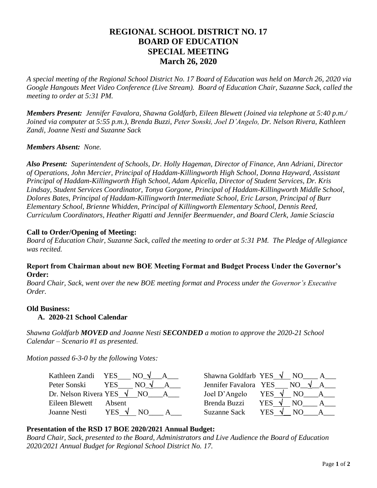# **REGIONAL SCHOOL DISTRICT NO. 17 BOARD OF EDUCATION SPECIAL MEETING March 26, 2020**

*A special meeting of the Regional School District No. 17 Board of Education was held on March 26, 2020 via Google Hangouts Meet Video Conference (Live Stream). Board of Education Chair, Suzanne Sack, called the meeting to order at 5:31 PM.*

*Members Present: Jennifer Favalora, Shawna Goldfarb, Eileen Blewett (Joined via telephone at 5:40 p.m./ Joined via computer at 5:55 p.m.), Brenda Buzzi, Peter Sonski, Joel D'Angelo, Dr. Nelson Rivera, Kathleen Zandi, Joanne Nesti and Suzanne Sack*

## *Members Absent: None.*

*Also Present: Superintendent of Schools, Dr. Holly Hageman, Director of Finance, Ann Adriani, Director of Operations, John Mercier, Principal of Haddam-Killingworth High School, Donna Hayward, Assistant Principal of Haddam-Killingworth High School, Adam Apicella, Director of Student Services, Dr. Kris Lindsay, Student Services Coordinator, Tonya Gorgone, Principal of Haddam-Killingworth Middle School, Dolores Bates, Principal of Haddam-Killingworth Intermediate School, Eric Larson, Principal of Burr Elementary School, Brienne Whidden, Principal of Killingworth Elementary School, Dennis Reed, Curriculum Coordinators, Heather Rigatti and Jennifer Beermuender, and Board Clerk, Jamie Sciascia* 

## **Call to Order/Opening of Meeting:**

*Board of Education Chair, Suzanne Sack, called the meeting to order at 5:31 PM. The Pledge of Allegiance was recited.*

## **Report from Chairman about new BOE Meeting Format and Budget Process Under the Governor's Order:**

*Board Chair, Sack, went over the new BOE meeting format and Process under the Governor's Executive Order.*

#### **Old Business:**

#### **A. 2020-21 School Calendar**

*Shawna Goldfarb MOVED and Joanne Nesti SECONDED a motion to approve the 2020-21 School Calendar – Scenario #1 as presented.*

*Motion passed 6-3-0 by the following Votes:*

| Kathleen Zandi YES | $NO \vee A$                         | Shawna Goldfarb YES $\sqrt{N}$ NO | $A \quad \alpha$           |
|--------------------|-------------------------------------|-----------------------------------|----------------------------|
| Peter Sonski       | <b>YES</b><br>$NO \sqrt{ }$         | Jennifer Favalora YES             | NO $\sqrt{A}$              |
|                    | Dr. Nelson Rivera YES $\sqrt{NQ_A}$ | Joel D'Angelo                     | YES $\sqrt{ }$<br>NO.<br>A |
| Eileen Blewett     | Absent                              | Brenda Buzzi                      | YES V<br>NO.               |
| Joanne Nesti       | YES $\sqrt{ }$<br>NΟ                | <b>Suzanne Sack</b>               | YES V<br>N()               |

| Shawna Goldfarb YES   |            | NO |  |
|-----------------------|------------|----|--|
| Jennifer Favalora YES |            | NΟ |  |
| Joel D'Angelo         | YES        | NО |  |
| Brenda Buzzi          | <b>YES</b> | NО |  |
| <b>Suzanne Sack</b>   | YES        |    |  |

# **Presentation of the RSD 17 BOE 2020/2021 Annual Budget:**

*Board Chair, Sack, presented to the Board, Administrators and Live Audience the Board of Education 2020/2021 Annual Budget for Regional School District No. 17.*